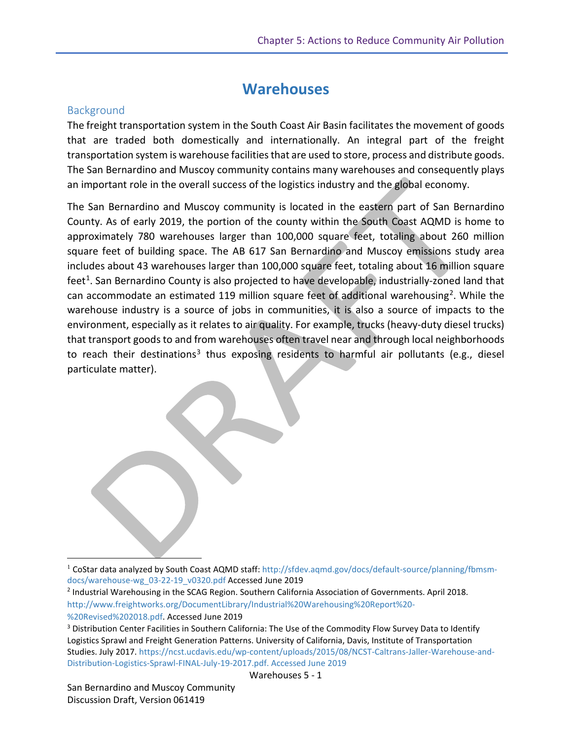## **Warehouses**

#### **Background**

The freight transportation system in the South Coast Air Basin facilitates the movement of goods that are traded both domestically and internationally. An integral part of the freight transportation system is warehouse facilities that are used to store, process and distribute goods. The San Bernardino and Muscoy community contains many warehouses and consequently plays an important role in the overall success of the logistics industry and the global economy.

The San Bernardino and Muscoy community is located in the eastern part of San Bernardino County. As of early 2019, the portion of the county within the South Coast AQMD is home to approximately 780 warehouses larger than 100,000 square feet, totaling about 260 million square feet of building space. The AB 617 San Bernardino and Muscoy emissions study area includes about 43 warehouses larger than 100,000 square feet, totaling about 16 million square feet<sup>[1](#page-0-0)</sup>. San Bernardino County is also projected to have developable, industrially-zoned land that can accommodate an estimated 119 million square feet of additional warehousing<sup>[2](#page-0-1)</sup>. While the warehouse industry is a source of jobs in communities, it is also a source of impacts to the environment, especially as it relates to air quality. For example, trucks (heavy-duty diesel trucks) that transport goods to and from warehouses often travel near and through local neighborhoods to reach their destinations<sup>[3](#page-0-2)</sup> thus exposing residents to harmful air pollutants (e.g., diesel particulate matter).

 $\overline{\phantom{a}}$ 

<span id="page-0-0"></span><sup>&</sup>lt;sup>1</sup> CoStar data analyzed by South Coast AQMD staff: [http://sfdev.aqmd.gov/docs/default-source/planning/fbmsm](http://sfdev.aqmd.gov/docs/default-source/planning/fbmsm-docs/warehouse-wg_03-22-19_v0320.pdf)[docs/warehouse-wg\\_03-22-19\\_v0320.pdf](http://sfdev.aqmd.gov/docs/default-source/planning/fbmsm-docs/warehouse-wg_03-22-19_v0320.pdf) Accessed June 2019

<span id="page-0-1"></span><sup>2</sup> Industrial Warehousing in the SCAG Region. Southern California Association of Governments. April 2018. [http://www.freightworks.org/DocumentLibrary/Industrial%20Warehousing%20Report%20-](http://www.freightworks.org/DocumentLibrary/Industrial%20Warehousing%20Report%20-%20Revised%202018.pdf) [%20Revised%202018.pdf.](http://www.freightworks.org/DocumentLibrary/Industrial%20Warehousing%20Report%20-%20Revised%202018.pdf) Accessed June 2019

<span id="page-0-2"></span><sup>&</sup>lt;sup>3</sup> Distribution Center Facilities in Southern California: The Use of the Commodity Flow Survey Data to Identify Logistics Sprawl and Freight Generation Patterns. University of California, Davis, Institute of Transportation Studies. July 2017. [https://ncst.ucdavis.edu/wp-content/uploads/2015/08/NCST-Caltrans-Jaller-Warehouse-and-](https://ncst.ucdavis.edu/wp-content/uploads/2015/08/NCST-Caltrans-Jaller-Warehouse-and-Distribution-Logistics-Sprawl-FINAL-July-19-2017.pdf)[Distribution-Logistics-Sprawl-FINAL-July-19-2017.pdf.](https://ncst.ucdavis.edu/wp-content/uploads/2015/08/NCST-Caltrans-Jaller-Warehouse-and-Distribution-Logistics-Sprawl-FINAL-July-19-2017.pdf) Accessed June 2019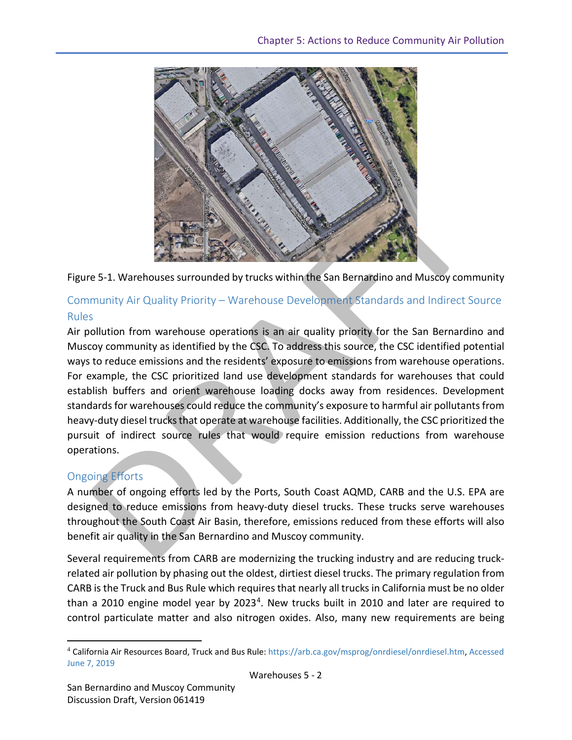



#### Community Air Quality Priority – Warehouse Development Standards and Indirect Source Rules

Air pollution from warehouse operations is an air quality priority for the San Bernardino and Muscoy community as identified by the CSC. To address this source, the CSC identified potential ways to reduce emissions and the residents' exposure to emissions from warehouse operations. For example, the CSC prioritized land use development standards for warehouses that could establish buffers and orient warehouse loading docks away from residences. Development standards for warehouses could reduce the community's exposure to harmful air pollutants from heavy-duty diesel trucks that operate at warehouse facilities. Additionally, the CSC prioritized the pursuit of indirect source rules that would require emission reductions from warehouse operations.

#### Ongoing Efforts

l

A number of ongoing efforts led by the Ports, South Coast AQMD, CARB and the U.S. EPA are designed to reduce emissions from heavy-duty diesel trucks. These trucks serve warehouses throughout the South Coast Air Basin, therefore, emissions reduced from these efforts will also benefit air quality in the San Bernardino and Muscoy community.

Several requirements from CARB are modernizing the trucking industry and are reducing truckrelated air pollution by phasing out the oldest, dirtiest diesel trucks. The primary regulation from CARB is the Truck and Bus Rule which requires that nearly all trucks in California must be no older than a 2010 engine model year by  $2023<sup>4</sup>$  $2023<sup>4</sup>$  $2023<sup>4</sup>$ . New trucks built in 2010 and later are required to control particulate matter and also nitrogen oxides. Also, many new requirements are being

<span id="page-1-0"></span><sup>4</sup> California Air Resources Board, Truck and Bus Rule[: https://arb.ca.gov/msprog/onrdiesel/onrdiesel.htm,](https://arb.ca.gov/msprog/onrdiesel/onrdiesel.htm) Accessed June 7, 2019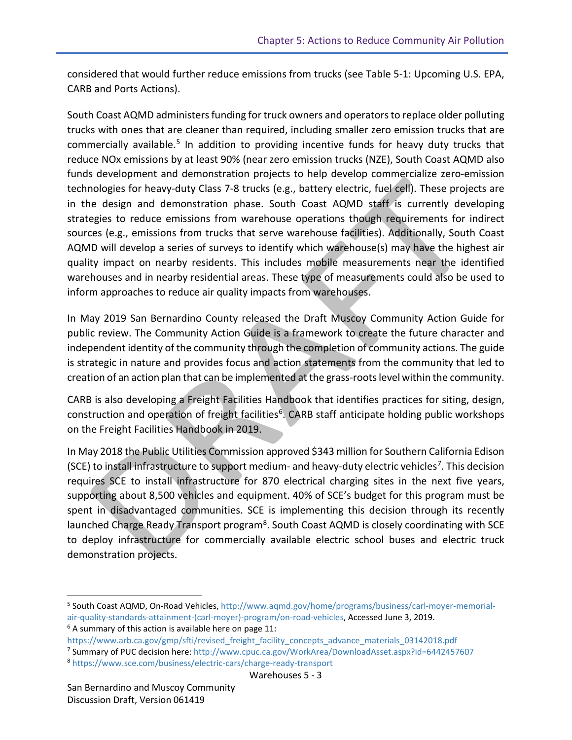considered that would further reduce emissions from trucks (see Table 5-1: Upcoming U.S. EPA, CARB and Ports Actions).

South Coast AQMD administers funding for truck owners and operators to replace older polluting trucks with ones that are cleaner than required, including smaller zero emission trucks that are commercially available.<sup>[5](#page-2-0)</sup> In addition to providing incentive funds for heavy duty trucks that reduce NOx emissions by at least 90% (near zero emission trucks (NZE), South Coast AQMD also funds development and demonstration projects to help develop commercialize zero-emission technologies for heavy-duty Class 7-8 trucks (e.g., battery electric, fuel cell). These projects are in the design and demonstration phase. South Coast AQMD staff is currently developing strategies to reduce emissions from warehouse operations though requirements for indirect sources (e.g., emissions from trucks that serve warehouse facilities). Additionally, South Coast AQMD will develop a series of surveys to identify which warehouse(s) may have the highest air quality impact on nearby residents. This includes mobile measurements near the identified warehouses and in nearby residential areas. These type of measurements could also be used to inform approaches to reduce air quality impacts from warehouses.

In May 2019 San Bernardino County released the Draft Muscoy Community Action Guide for public review. The Community Action Guide is a framework to create the future character and independent identity of the community through the completion of community actions. The guide is strategic in nature and provides focus and action statements from the community that led to creation of an action plan that can be implemented at the grass-roots level within the community.

CARB is also developing a Freight Facilities Handbook that identifies practices for siting, design, construction and operation of freight facilities<sup>6</sup>. CARB staff anticipate holding public workshops on the Freight Facilities Handbook in 2019.

In May 2018 the Public Utilities Commission approved \$343 million for Southern California Edison (SCE) to install infrastructure to support medium- and heavy-duty electric vehicles<sup>7</sup>. This decision requires SCE to install infrastructure for 870 electrical charging sites in the next five years, supporting about 8,500 vehicles and equipment. 40% of SCE's budget for this program must be spent in disadvantaged communities. SCE is implementing this decision through its recently launched Charge Ready Transport program<sup>8</sup>. South Coast AQMD is closely coordinating with SCE to deploy infrastructure for commercially available electric school buses and electric truck demonstration projects.

<span id="page-2-1"></span>

 $\overline{a}$ 

<span id="page-2-0"></span><sup>5</sup> South Coast AQMD, On-Road Vehicles[, http://www.aqmd.gov/home/programs/business/carl-moyer-memorial](http://www.aqmd.gov/home/programs/business/carl-moyer-memorial-air-quality-standards-attainment-(carl-moyer)-program/on-road-vehicles)[air-quality-standards-attainment-\(carl-moyer\)-program/on-road-vehicles,](http://www.aqmd.gov/home/programs/business/carl-moyer-memorial-air-quality-standards-attainment-(carl-moyer)-program/on-road-vehicles) Accessed June 3, 2019.<br><sup>6</sup> A summary of this action is available here on page 11:

[https://www.arb.ca.gov/gmp/sfti/revised\\_freight\\_facility\\_concepts\\_advance\\_materials\\_03142018.pdf](https://www.arb.ca.gov/gmp/sfti/revised_freight_facility_concepts_advance_materials_03142018.pdf)

<span id="page-2-2"></span><sup>7</sup> Summary of PUC decision here[: http://www.cpuc.ca.gov/WorkArea/DownloadAsset.aspx?id=6442457607](http://www.cpuc.ca.gov/WorkArea/DownloadAsset.aspx?id=6442457607)

<span id="page-2-3"></span><sup>8</sup> <https://www.sce.com/business/electric-cars/charge-ready-transport> Warehouses 5 - 3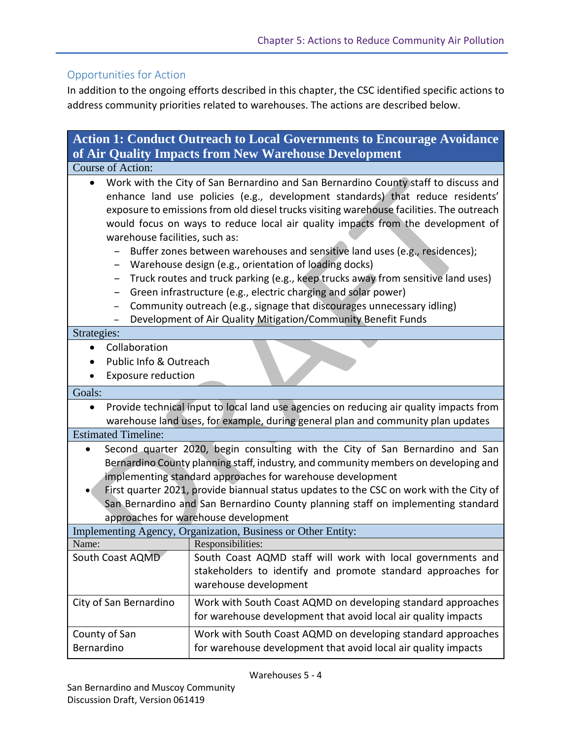#### Opportunities for Action

In addition to the ongoing efforts described in this chapter, the CSC identified specific actions to address community priorities related to warehouses. The actions are described below.

| <b>Action 1: Conduct Outreach to Local Governments to Encourage Avoidance</b>                                                                                                                                                                                                                                                                                                                                                                                                                                                                                                                                                                                                                                                                                                                                                             |                                                                                                                                                      |  |
|-------------------------------------------------------------------------------------------------------------------------------------------------------------------------------------------------------------------------------------------------------------------------------------------------------------------------------------------------------------------------------------------------------------------------------------------------------------------------------------------------------------------------------------------------------------------------------------------------------------------------------------------------------------------------------------------------------------------------------------------------------------------------------------------------------------------------------------------|------------------------------------------------------------------------------------------------------------------------------------------------------|--|
| of Air Quality Impacts from New Warehouse Development                                                                                                                                                                                                                                                                                                                                                                                                                                                                                                                                                                                                                                                                                                                                                                                     |                                                                                                                                                      |  |
| <b>Course of Action:</b>                                                                                                                                                                                                                                                                                                                                                                                                                                                                                                                                                                                                                                                                                                                                                                                                                  |                                                                                                                                                      |  |
| Work with the City of San Bernardino and San Bernardino County staff to discuss and<br>enhance land use policies (e.g., development standards) that reduce residents'<br>exposure to emissions from old diesel trucks visiting warehouse facilities. The outreach<br>would focus on ways to reduce local air quality impacts from the development of<br>warehouse facilities, such as:<br>Buffer zones between warehouses and sensitive land uses (e.g., residences);<br>Warehouse design (e.g., orientation of loading docks)<br>-<br>Truck routes and truck parking (e.g., keep trucks away from sensitive land uses)<br>Green infrastructure (e.g., electric charging and solar power)<br>-<br>Community outreach (e.g., signage that discourages unnecessary idling)<br>Development of Air Quality Mitigation/Community Benefit Funds |                                                                                                                                                      |  |
| Strategies:                                                                                                                                                                                                                                                                                                                                                                                                                                                                                                                                                                                                                                                                                                                                                                                                                               |                                                                                                                                                      |  |
| Collaboration<br>Public Info & Outreach<br><b>Exposure reduction</b>                                                                                                                                                                                                                                                                                                                                                                                                                                                                                                                                                                                                                                                                                                                                                                      |                                                                                                                                                      |  |
| Goals:                                                                                                                                                                                                                                                                                                                                                                                                                                                                                                                                                                                                                                                                                                                                                                                                                                    |                                                                                                                                                      |  |
| Provide technical input to local land use agencies on reducing air quality impacts from<br>$\bullet$<br>warehouse land uses, for example, during general plan and community plan updates<br><b>Estimated Timeline:</b>                                                                                                                                                                                                                                                                                                                                                                                                                                                                                                                                                                                                                    |                                                                                                                                                      |  |
|                                                                                                                                                                                                                                                                                                                                                                                                                                                                                                                                                                                                                                                                                                                                                                                                                                           |                                                                                                                                                      |  |
| Second quarter 2020, begin consulting with the City of San Bernardino and San<br>Bernardino County planning staff, industry, and community members on developing and<br>implementing standard approaches for warehouse development<br>First quarter 2021, provide biannual status updates to the CSC on work with the City of                                                                                                                                                                                                                                                                                                                                                                                                                                                                                                             |                                                                                                                                                      |  |
| San Bernardino and San Bernardino County planning staff on implementing standard                                                                                                                                                                                                                                                                                                                                                                                                                                                                                                                                                                                                                                                                                                                                                          |                                                                                                                                                      |  |
| approaches for warehouse development                                                                                                                                                                                                                                                                                                                                                                                                                                                                                                                                                                                                                                                                                                                                                                                                      |                                                                                                                                                      |  |
| Implementing Agency, Organization, Business or Other Entity:                                                                                                                                                                                                                                                                                                                                                                                                                                                                                                                                                                                                                                                                                                                                                                              |                                                                                                                                                      |  |
| Name:                                                                                                                                                                                                                                                                                                                                                                                                                                                                                                                                                                                                                                                                                                                                                                                                                                     | Responsibilities:                                                                                                                                    |  |
| South Coast AQMD                                                                                                                                                                                                                                                                                                                                                                                                                                                                                                                                                                                                                                                                                                                                                                                                                          | South Coast AQMD staff will work with local governments and<br>stakeholders to identify and promote standard approaches for<br>warehouse development |  |
| City of San Bernardino                                                                                                                                                                                                                                                                                                                                                                                                                                                                                                                                                                                                                                                                                                                                                                                                                    | Work with South Coast AQMD on developing standard approaches<br>for warehouse development that avoid local air quality impacts                       |  |
| County of San                                                                                                                                                                                                                                                                                                                                                                                                                                                                                                                                                                                                                                                                                                                                                                                                                             | Work with South Coast AQMD on developing standard approaches                                                                                         |  |
| Bernardino                                                                                                                                                                                                                                                                                                                                                                                                                                                                                                                                                                                                                                                                                                                                                                                                                                | for warehouse development that avoid local air quality impacts                                                                                       |  |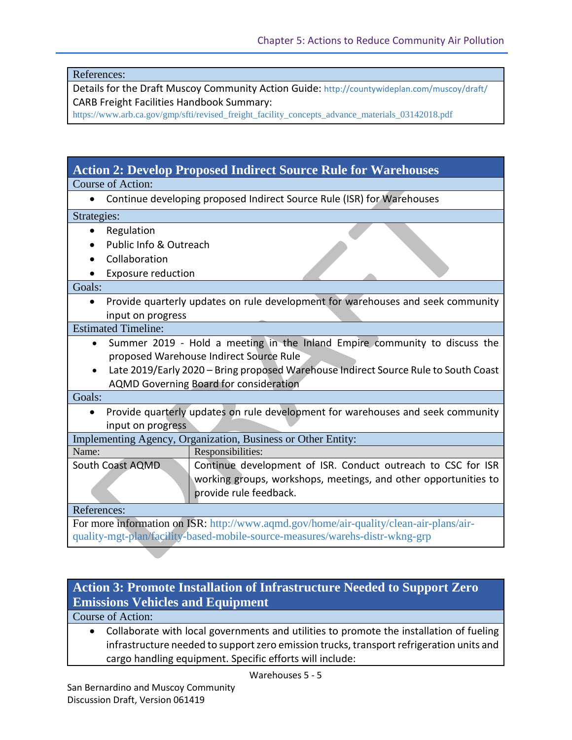References:

Details for the Draft Muscoy Community Action Guide: <http://countywideplan.com/muscoy/draft/> CARB Freight Facilities Handbook Summary:

[https://www.arb.ca.gov/gmp/sfti/revised\\_freight\\_facility\\_concepts\\_advance\\_materials\\_03142018.pdf](https://www.arb.ca.gov/gmp/sfti/revised_freight_facility_concepts_advance_materials_03142018.pdf)

# **Action 2: Develop Proposed Indirect Source Rule for Warehouses**

Course of Action:

• Continue developing proposed Indirect Source Rule (ISR) for Warehouses

Strategies:

- Regulation
- Public Info & Outreach
- Collaboration
- Exposure reduction

#### Goals:

• Provide quarterly updates on rule development for warehouses and seek community input on progress

Estimated Timeline:

- Summer 2019 Hold a meeting in the Inland Empire community to discuss the proposed Warehouse Indirect Source Rule
- Late 2019/Early 2020 Bring proposed Warehouse Indirect Source Rule to South Coast AQMD Governing Board for consideration

Goals:

• Provide quarterly updates on rule development for warehouses and seek community input on progress

| Implementing Agency, Organization, Business or Other Entity:                                              |                                                                                                                                                           |  |
|-----------------------------------------------------------------------------------------------------------|-----------------------------------------------------------------------------------------------------------------------------------------------------------|--|
| Name:                                                                                                     | Responsibilities:                                                                                                                                         |  |
| South Coast AQMD                                                                                          | Continue development of ISR. Conduct outreach to CSC for ISR<br>working groups, workshops, meetings, and other opportunities to<br>provide rule feedback. |  |
| References:                                                                                               |                                                                                                                                                           |  |
| For more information on $\text{IRD} \cdot \text{http://www.gamd.gov/homo/air/quality/clean/airnlanc/air}$ |                                                                                                                                                           |  |

ormation on ISR: http://www.aqmd.gov/home/air-quality/clean-air-plans/airquality-mgt-plan/facility-based-mobile-source-measures/warehs-distr-wkng-grp

### **Action 3: Promote Installation of Infrastructure Needed to Support Zero Emissions Vehicles and Equipment**

Course of Action:

• Collaborate with local governments and utilities to promote the installation of fueling infrastructure needed to support zero emission trucks, transport refrigeration units and cargo handling equipment. Specific efforts will include: